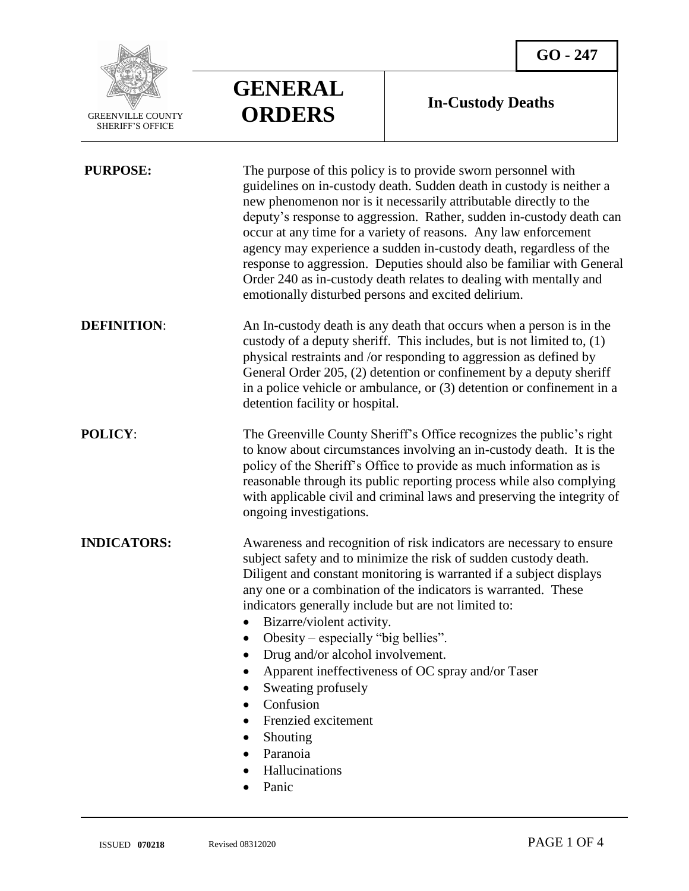

 $\overline{a}$ 

## **GENERAL ORDERS**

## **In-Custody Deaths**

| <b>PURPOSE:</b>    | The purpose of this policy is to provide sworn personnel with<br>guidelines on in-custody death. Sudden death in custody is neither a<br>new phenomenon nor is it necessarily attributable directly to the<br>deputy's response to aggression. Rather, sudden in-custody death can<br>occur at any time for a variety of reasons. Any law enforcement<br>agency may experience a sudden in-custody death, regardless of the<br>response to aggression. Deputies should also be familiar with General<br>Order 240 as in-custody death relates to dealing with mentally and<br>emotionally disturbed persons and excited delirium. |
|--------------------|-----------------------------------------------------------------------------------------------------------------------------------------------------------------------------------------------------------------------------------------------------------------------------------------------------------------------------------------------------------------------------------------------------------------------------------------------------------------------------------------------------------------------------------------------------------------------------------------------------------------------------------|
| <b>DEFINITION:</b> | An In-custody death is any death that occurs when a person is in the<br>custody of a deputy sheriff. This includes, but is not limited to, $(1)$<br>physical restraints and /or responding to aggression as defined by<br>General Order 205, (2) detention or confinement by a deputy sheriff<br>in a police vehicle or ambulance, or $(3)$ detention or confinement in a<br>detention facility or hospital.                                                                                                                                                                                                                      |
| <b>POLICY:</b>     | The Greenville County Sheriff's Office recognizes the public's right<br>to know about circumstances involving an in-custody death. It is the<br>policy of the Sheriff's Office to provide as much information as is<br>reasonable through its public reporting process while also complying<br>with applicable civil and criminal laws and preserving the integrity of<br>ongoing investigations.                                                                                                                                                                                                                                 |
| <b>INDICATORS:</b> | Awareness and recognition of risk indicators are necessary to ensure<br>subject safety and to minimize the risk of sudden custody death.<br>Diligent and constant monitoring is warranted if a subject displays<br>any one or a combination of the indicators is warranted. These<br>indicators generally include but are not limited to:<br>Bizarre/violent activity.<br>Obesity – especially "big bellies".<br>Drug and/or alcohol involvement.<br>$\bullet$<br>Apparent ineffectiveness of OC spray and/or Taser<br>Sweating profusely<br>Confusion<br>Frenzied excitement<br>Shouting<br>Paranoia<br>Hallucinations<br>Panic  |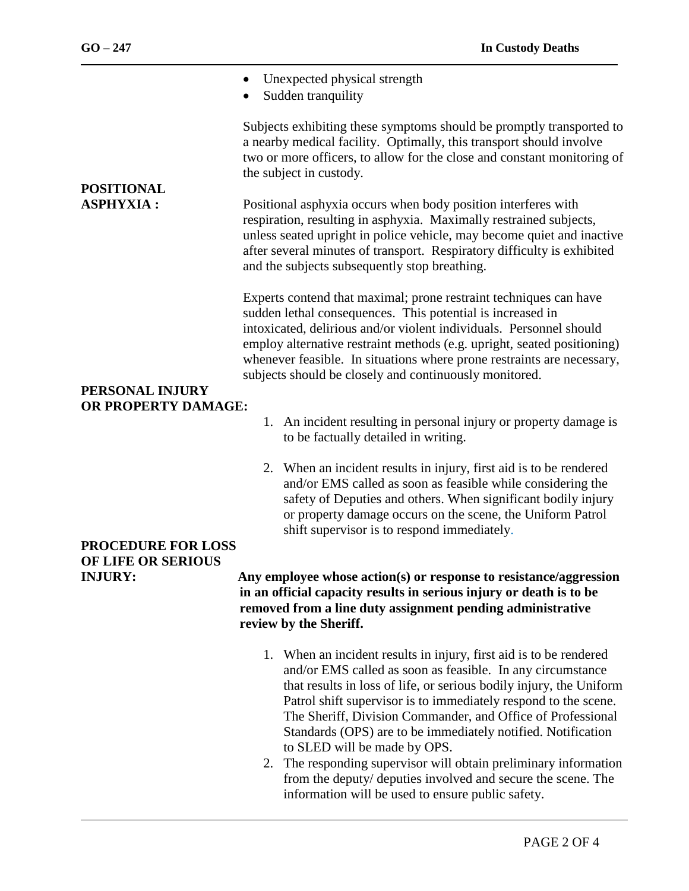| <b>POSITIONAL</b><br><b>ASPHYXIA:</b>           | Unexpected physical strength<br>Sudden tranquility                                                                                                                                                                                                                                                                                                                                                                    |
|-------------------------------------------------|-----------------------------------------------------------------------------------------------------------------------------------------------------------------------------------------------------------------------------------------------------------------------------------------------------------------------------------------------------------------------------------------------------------------------|
|                                                 | Subjects exhibiting these symptoms should be promptly transported to<br>a nearby medical facility. Optimally, this transport should involve<br>two or more officers, to allow for the close and constant monitoring of<br>the subject in custody.                                                                                                                                                                     |
|                                                 | Positional asphyxia occurs when body position interferes with<br>respiration, resulting in asphyxia. Maximally restrained subjects,<br>unless seated upright in police vehicle, may become quiet and inactive<br>after several minutes of transport. Respiratory difficulty is exhibited<br>and the subjects subsequently stop breathing.                                                                             |
| PERSONAL INJURY                                 | Experts contend that maximal; prone restraint techniques can have<br>sudden lethal consequences. This potential is increased in<br>intoxicated, delirious and/or violent individuals. Personnel should<br>employ alternative restraint methods (e.g. upright, seated positioning)<br>whenever feasible. In situations where prone restraints are necessary,<br>subjects should be closely and continuously monitored. |
| OR PROPERTY DAMAGE:                             | 1. An incident resulting in personal injury or property damage is<br>to be factually detailed in writing.                                                                                                                                                                                                                                                                                                             |
|                                                 | When an incident results in injury, first aid is to be rendered<br>2.<br>and/or EMS called as soon as feasible while considering the<br>safety of Deputies and others. When significant bodily injury<br>or property damage occurs on the scene, the Uniform Patrol<br>shift supervisor is to respond immediately.                                                                                                    |
| <b>PROCEDURE FOR LOSS</b><br>OF LIFE OR SERIOUS |                                                                                                                                                                                                                                                                                                                                                                                                                       |
| <b>INJURY:</b>                                  | Any employee whose action(s) or response to resistance/aggression<br>in an official capacity results in serious injury or death is to be<br>removed from a line duty assignment pending administrative<br>review by the Sheriff.                                                                                                                                                                                      |
|                                                 | 1. When an incident results in injury, first aid is to be rendered<br>and/or EMS called as soon as feasible. In any circumstance<br>that results in loss of life, or serious bodily injury, the Uniform<br>Patrol shift supervisor is to immediately respond to the scene.<br>The Sheriff, Division Commander, and Office of Professional<br>Standards (OPS) are to be immediately notified. Notification             |

to SLED will be made by OPS. 2. The responding supervisor will obtain preliminary information from the deputy/ deputies involved and secure the scene. The information will be used to ensure public safety.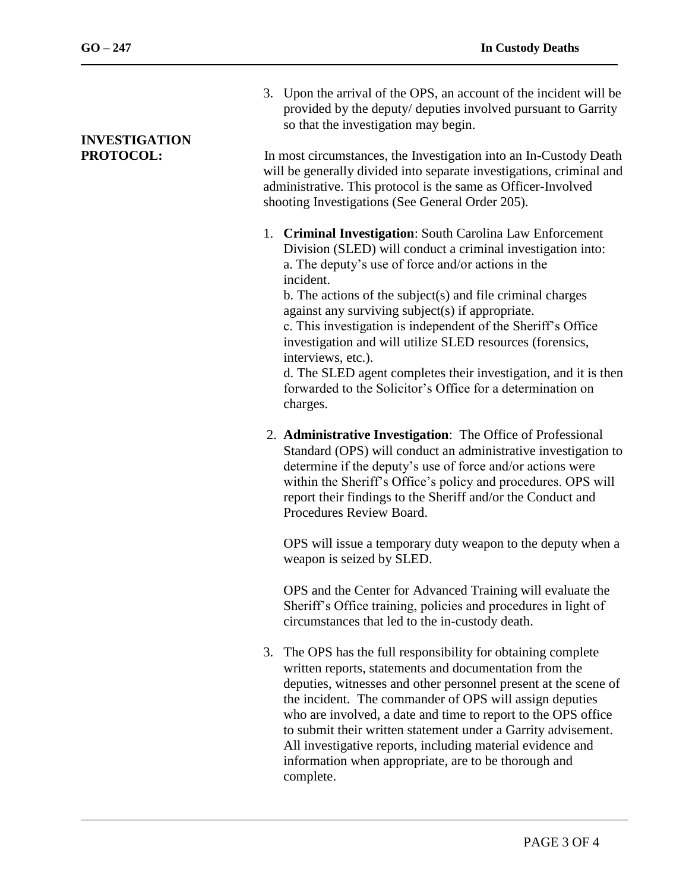$\overline{a}$ 

- 3. Upon the arrival of the OPS, an account of the incident will be provided by the deputy/ deputies involved pursuant to Garrity so that the investigation may begin. **INVESTIGATION PROTOCOL:** In most circumstances, the Investigation into an In-Custody Death will be generally divided into separate investigations, criminal and administrative. This protocol is the same as Officer-Involved shooting Investigations (See General Order 205). 1. **Criminal Investigation**: South Carolina Law Enforcement Division (SLED) will conduct a criminal investigation into: a. The deputy's use of force and/or actions in the incident. b. The actions of the subject(s) and file criminal charges against any surviving subject(s) if appropriate. c. This investigation is independent of the Sheriff's Office investigation and will utilize SLED resources (forensics, interviews, etc.). d. The SLED agent completes their investigation, and it is then forwarded to the Solicitor's Office for a determination on charges.
	- 2. **Administrative Investigation**: The Office of Professional Standard (OPS) will conduct an administrative investigation to determine if the deputy's use of force and/or actions were within the Sheriff's Office's policy and procedures. OPS will report their findings to the Sheriff and/or the Conduct and Procedures Review Board.

OPS will issue a temporary duty weapon to the deputy when a weapon is seized by SLED.

OPS and the Center for Advanced Training will evaluate the Sheriff's Office training, policies and procedures in light of circumstances that led to the in-custody death.

3. The OPS has the full responsibility for obtaining complete written reports, statements and documentation from the deputies, witnesses and other personnel present at the scene of the incident. The commander of OPS will assign deputies who are involved, a date and time to report to the OPS office to submit their written statement under a Garrity advisement. All investigative reports, including material evidence and information when appropriate, are to be thorough and complete.